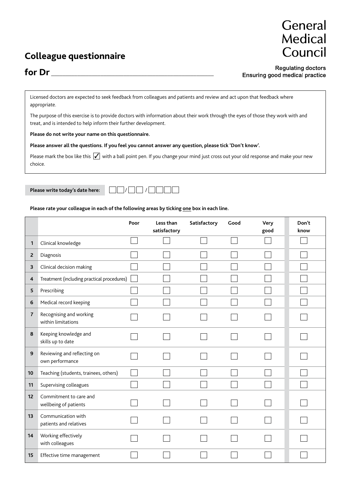## **Colleague questionnaire**



## **for Dr** \_\_\_\_\_\_\_\_\_\_\_\_\_\_\_\_\_\_\_\_\_\_\_\_\_\_\_\_\_\_\_\_\_\_\_\_\_\_\_\_\_\_\_\_\_\_\_\_\_\_\_\_\_\_\_\_

**Regulating doctors** Ensuring good medical practice

Licensed doctors are expected to seek feedback from colleagues and patients and review and act upon that feedback where appropriate.

The purpose of this exercise is to provide doctors with information about their work through the eyes of those they work with and treat, and is intended to help inform their further development.

**Please do not write your name on this questionnaire.**

**Please answer all the questions. If you feel you cannot answer any question, please tick 'Don't know'.**

Please mark the box like this  $\sqrt{\ }$  with a ball point pen. If you change your mind just cross out your old response and make your new choice.

**Please write today's date here:**  $\Box$  /  $\Box$  /  $\Box$  /  $\Box$ 



**Please rate your colleague in each of the following areas by ticking one box in each line.**

|                |                                                 | Poor | Less than<br>satisfactory | Satisfactory | Good | Very<br>good | Don't<br>know |
|----------------|-------------------------------------------------|------|---------------------------|--------------|------|--------------|---------------|
| 1              | Clinical knowledge                              |      |                           |              |      |              |               |
| $\mathbf{Z}$   | Diagnosis                                       |      |                           |              |      |              |               |
| 3              | Clinical decision making                        |      |                           |              |      |              |               |
| 4              | Treatment (including practical procedures)      |      |                           |              |      |              |               |
| 5              | Prescribing                                     |      |                           |              |      |              |               |
| 6              | Medical record keeping                          |      |                           |              |      |              |               |
| $\overline{7}$ | Recognising and working<br>within limitations   |      |                           |              |      |              |               |
| 8              | Keeping knowledge and<br>skills up to date      |      |                           |              |      |              |               |
| 9              | Reviewing and reflecting on<br>own performance  |      |                           |              |      |              |               |
| 10             | Teaching (students, trainees, others)           |      |                           |              |      |              |               |
| 11             | Supervising colleagues                          |      |                           |              |      |              |               |
| 12             | Commitment to care and<br>wellbeing of patients |      |                           |              |      |              |               |
| 13             | Communication with<br>patients and relatives    |      |                           |              |      |              |               |
| 14             | Working effectively<br>with colleagues          |      |                           |              |      |              |               |
| 15             | Effective time management                       |      |                           |              |      |              |               |